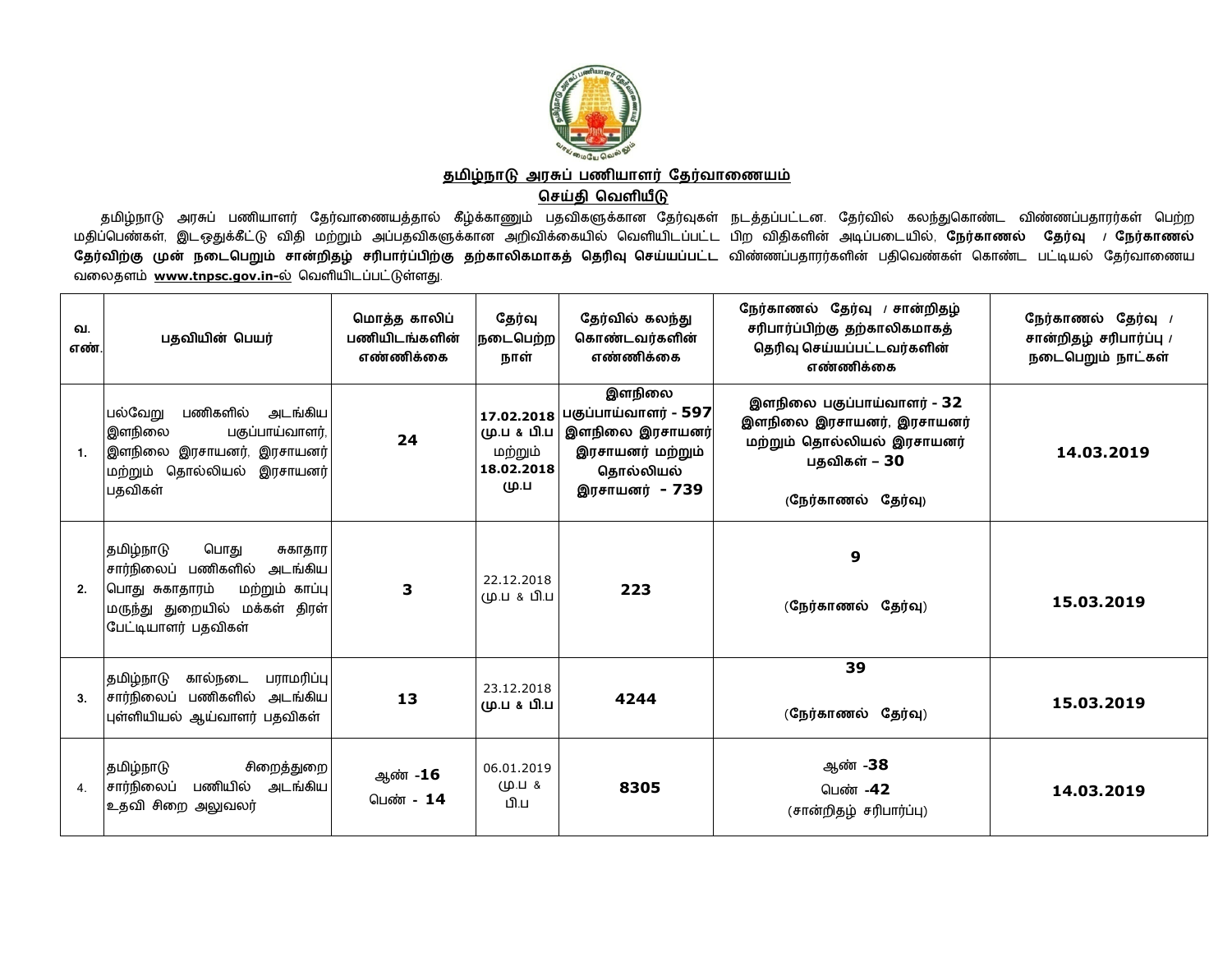

தமிழ்நாடு அரசுப் பணியாளர் தேர்வாணையம்

## **ெசதி ெவளய**

தமிழ்நாடு அரசுப் பணியாளர் தேர்வாணையத்தால் கீழ்க்காணும் பதவிகளுக்கான தேர்வுகள் நடத்தப்பட்டன. தேர்வில் கலந்துகொண்ட விண்ணப்பதாரர்கள் பெற்ற<br>மூடிப்பெண்டீல் உயர்பீட்டு விட மற்றும் ஆயாவிகளர்கான வூலிக்காயில் பெனியிடப்பட்ட பிற விக மதிப்பெண்கள், இடஒதுக்கீட்டு விதி மற்றும் அப்பதவிகளுக்கான அறிவிக்கையில் வெளியிடப்பட்ட பிற விதிகளின் அடிப்படையில், **நேர்காணல் தேர்வு** *।* **நேர்காணல்** தேர்விற்கு முன் நடைபெறும் சான்றிதழ் சரிபார்ப்பிற்கு தற்காலிகமாகத் தெரிவு செய்யப்பட்ட விண்ணப்பதாரர்களின் பதிவெண்கள் கொண்ட பட்டியல் தேர்வாணைய<br>வலைகளம் www.twise.com is ல் வெலியிடம் ம்.ம்.இன்னட வலைதளம் www.tnpsc.gov.in-ல் வெளியிடப்பட்டுள்ளது.

| வ.<br>எண் | பதவியின் பெயர்                                                                                                                                              | மொத்த காலிப்<br>பணியிடங்களின்<br>எண்ணிக்கை | தேர்வு<br>நடைபெற்ற<br>நாள்                                 | தேர்வில் கலந்து<br>கொண்டவர்களின்<br>எண்ணிக்கை                                                        | நேர்காணல் தேர்வு / சான்றிதழ்<br>சரிபார்ப்பிற்கு தற்காலிகமாகத்<br>தெரிவு செய்யப்பட்டவர்களின்<br>எண்ணிக்கை                    | நேர்காணல் தேர்வு /<br>சான்றிதழ் சரிபார்ப்பு /<br>நடைபெறும் நாட்கள் |
|-----------|-------------------------------------------------------------------------------------------------------------------------------------------------------------|--------------------------------------------|------------------------------------------------------------|------------------------------------------------------------------------------------------------------|-----------------------------------------------------------------------------------------------------------------------------|--------------------------------------------------------------------|
| 1.        | பல்வேறு<br>பணிகளில்<br>அடங்கிய<br>இளநிலை<br>பகுப்பாய்வாளர்,<br>இளநிலை இரசாயனர், இரசாயனர் <br>மற்றும் தொல்லியல்<br>இரசாயனர்<br>பதவிகள்                       | 24                                         | 17.02.2018<br>மு.ப & பி.ப<br>மற்றும்<br>18.02.2018<br>மு.ப | இளநிலை<br>பகுப்பாய்வாளர் - 597<br>இளநிலை இரசாயனர்<br>இரசாயனர் மற்றும்<br>தொல்லியல்<br>இரசாயனர் - 739 | இளநிலை பகுப்பாய்வாளர் - 32<br>இளநிலை இரசாயனர், இரசாயனர்<br>மற்றும் தொல்லியல் இரசாயனர்<br>பதவிகள் – 30<br>(நேர்காணல் தேர்வு) | 14.03.2019                                                         |
| 2.        | தமிழ்நாடு<br>பொது<br>சுகாதார<br>சார்நிலைப் பணிகளில்<br>அடங்கிய<br>மற்றும் காப்பு<br> பொது சுகாதாரம்<br>மருந்து துறையில் மக்கள் திரள்<br>பேட்டியாளர் பதவிகள் | 3                                          | 22.12.2018<br>மு.ப & பி.ப                                  | 223                                                                                                  | 9<br>(நேர்காணல் தேர்வு)                                                                                                     | 15.03.2019                                                         |
| 3.        | கால்நடை<br>பராமரிப்பு<br>தமிழ்நாடு<br>சார்நிலைப் பணிகளில் அடங்கிய<br>புள்ளியியல் ஆய்வாளர் பதவிகள்                                                           | 13                                         | 23.12.2018<br>மு.ப & பி.ப                                  | 4244                                                                                                 | 39<br>(நேர்காணல் தேர்வு)                                                                                                    | 15.03.2019                                                         |
| 4.        | தமிழ்நாடு<br>சிறைத்துறை <br>பணியில் அடங்கிய<br>சார்நிலைப்<br>உதவி சிறை அலுவலர்                                                                              | ஆண் -16<br>பெண் - 14                       | 06.01.2019<br>$(40.11 \text{ Å})$<br>மிய                   | 8305                                                                                                 | ஆண் -38<br>பெண் -42<br>(சான்றிதழ் சரிபார்ப்பு)                                                                              | 14.03.2019                                                         |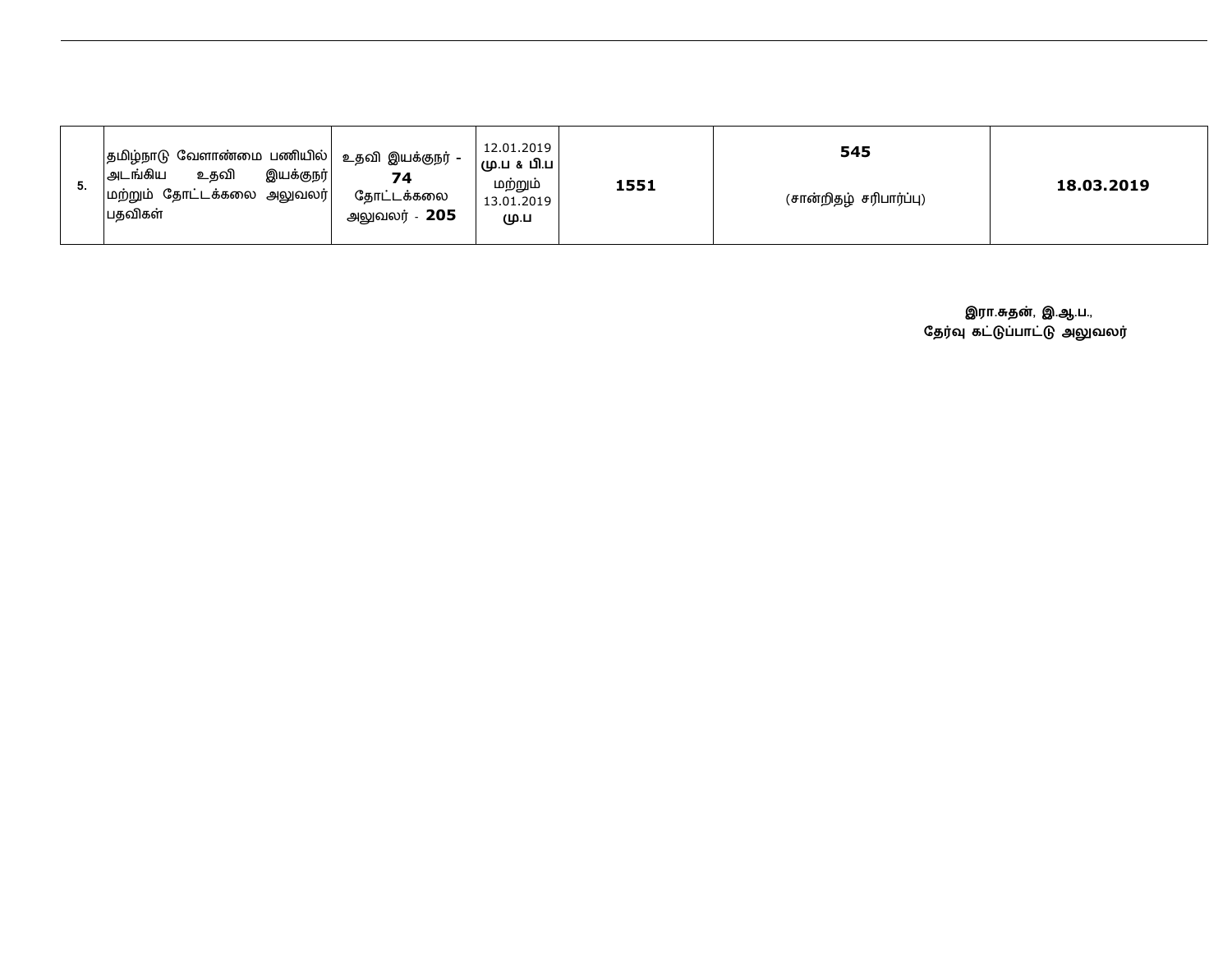|  | $ $ தமிழ்நாடு வேளாண்மை பணியில் $ $ உதவி இயக்குநர் -<br>உதவி<br>இயக்குநர்<br> அடங்கிய<br>74<br>மற்றும் தோட்டக்கலை அலுவலர்<br>தோட்டக்கலை<br>பதவிகள்<br>அலுவலர் - <b>205</b> | 12.01.2019<br> பட்டி & பி.ப<br>மற்றும்<br>13.01.2019<br>மு.ப | 1551 | 545<br>(சான்றிதழ் சரிபார்ப்பு) | 18.03.2019 |
|--|---------------------------------------------------------------------------------------------------------------------------------------------------------------------------|--------------------------------------------------------------|------|--------------------------------|------------|
|--|---------------------------------------------------------------------------------------------------------------------------------------------------------------------------|--------------------------------------------------------------|------|--------------------------------|------------|

**இரா.சுதன், இ.ஆ.ப.,** தேர்வு கட்டுப்பாட்டு அலுவலர்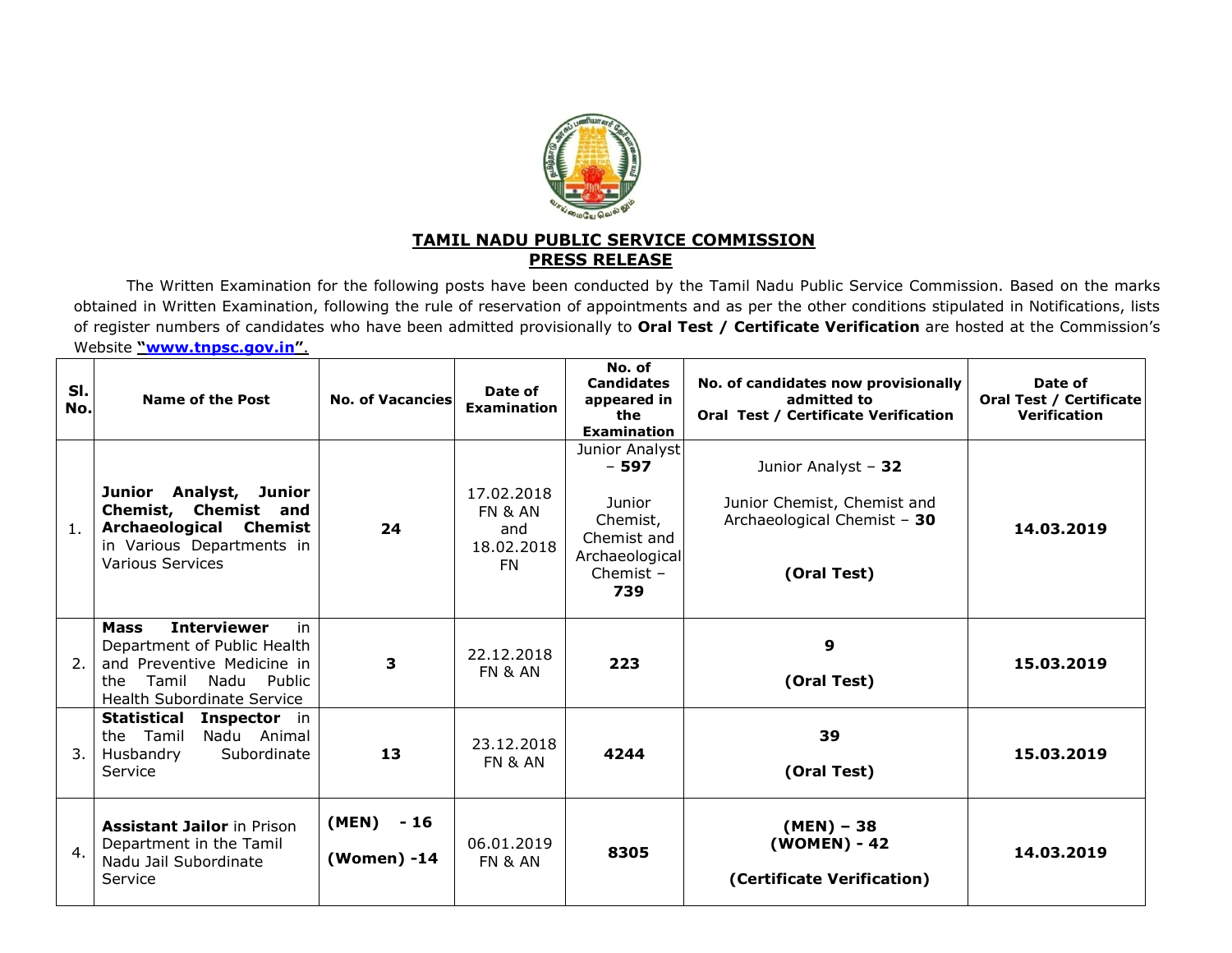

## **TAMIL NADU PUBLIC SERVICE COMMISSIONPRESS RELEASE**

 The Written Examination for the following posts have been conducted by the Tamil Nadu Public Service Commission. Based on the marks obtained in Written Examination, following the rule of reservation of appointments and as per the other conditions stipulated in Notifications, lists of register numbers of candidates who have been admitted provisionally to **Oral Test / Certificate Verification** are hosted at the Commission's Website **"www.tnpsc.gov.in"**.

| SI.<br>No.       | <b>Name of the Post</b>                                                                                                                                                      | <b>No. of Vacancies</b>   | Date of<br><b>Examination</b>                                      | No. of<br><b>Candidates</b><br>appeared in<br>the<br><b>Examination</b>                               | No. of candidates now provisionally<br>admitted to<br>Oral Test / Certificate Verification       | Date of<br>Oral Test / Certificate<br><b>Verification</b> |
|------------------|------------------------------------------------------------------------------------------------------------------------------------------------------------------------------|---------------------------|--------------------------------------------------------------------|-------------------------------------------------------------------------------------------------------|--------------------------------------------------------------------------------------------------|-----------------------------------------------------------|
| 1.               | Junior Analyst,<br>Junior<br>Chemist, Chemist and<br>Archaeological Chemist<br>in Various Departments in<br>Various Services                                                 | 24                        | 17.02.2018<br><b>FN &amp; AN</b><br>and<br>18.02.2018<br><b>FN</b> | Junior Analyst<br>$-597$<br>Junior<br>Chemist,<br>Chemist and<br>Archaeological<br>Chemist $-$<br>739 | Junior Analyst - 32<br>Junior Chemist, Chemist and<br>Archaeological Chemist - 30<br>(Oral Test) | 14.03.2019                                                |
| $\overline{2}$ . | <b>Interviewer</b><br><b>Mass</b><br>in.<br>Department of Public Health<br>and Preventive Medicine in<br>Tamil<br>Nadu<br>Public<br>the<br><b>Health Subordinate Service</b> | 3                         | 22.12.2018<br>FN & AN                                              | 223                                                                                                   | 9<br>(Oral Test)                                                                                 | 15.03.2019                                                |
| 3.               | <b>Statistical Inspector in</b><br>the Tamil<br>Nadu Animal<br>Subordinate<br>Husbandry<br>Service                                                                           | 13                        | 23.12.2018<br><b>FN &amp; AN</b>                                   | 4244                                                                                                  | 39<br>(Oral Test)                                                                                | 15.03.2019                                                |
| $\mathbf{4}$ .   | <b>Assistant Jailor in Prison</b><br>Department in the Tamil<br>Nadu Jail Subordinate<br>Service                                                                             | (MEN) - 16<br>(Women) -14 | 06.01.2019<br><b>FN &amp; AN</b>                                   | 8305                                                                                                  | $(MEN) - 38$<br>(WOMEN) - 42<br>(Certificate Verification)                                       | 14.03.2019                                                |